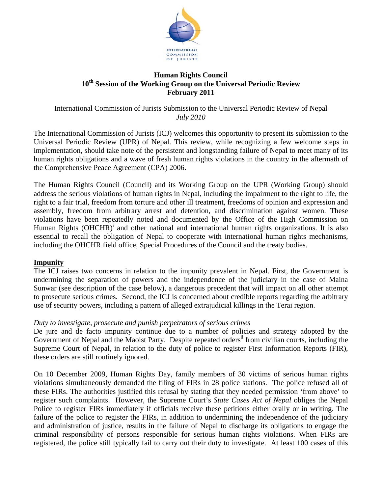

# **Human Rights Council 10th Session of the Working Group on the Universal Periodic Review February 2011**

International Commission of Jurists Submission to the Universal Periodic Review of Nepal *July 2010* 

The International Commission of Jurists (ICJ) welcomes this opportunity to present its submission to the Universal Periodic Review (UPR) of Nepal. This review, while recognizing a few welcome steps in implementation, should take note of the persistent and longstanding failure of Nepal to meet many of its human rights obligations and a wave of fresh human rights violations in the country in the aftermath of the Comprehensive Peace Agreement (CPA) 2006.

The Human Rights Council (Council) and its Working Group on the UPR (Working Group) should address the serious violations of human rights in Nepal, including the impairment to the right to life, the right to a fair trial, freedom from torture and other ill treatment, freedoms of opinion and expression and assembly, freedom from arbitrary arrest and detention, and discrimination against women. These violations have been repeatedly noted and documented by the Office of the High Commission on Human Rights (OHCHR)<sup>i</sup> and other national and international human rights organizations. It is also essential to recall the obligation of Nepal to cooperate with international human rights mechanisms, including the OHCHR field office, Special Procedures of the Council and the treaty bodies.

# **Impunity**

The ICJ raises two concerns in relation to the impunity prevalent in Nepal. First, the Government is undermining the separation of powers and the independence of the judiciary in the case of Maina Sunwar (see description of the case below), a dangerous precedent that will impact on all other attempt to prosecute serious crimes. Second, the ICJ is concerned about credible reports regarding the arbitrary use of security powers, including a pattern of alleged extrajudicial killings in the Terai region.

#### *Duty to investigate, prosecute and punish perpetrators of serious crimes*

De jure and de facto impunity continue due to a number of policies and strategy adopted by the Government of Nepal and the Maoist Party. Despite repeated orders<sup>ii</sup> from civilian courts, including the Supreme Court of Nepal, in relation to the duty of police to register First Information Reports (FIR), these orders are still routinely ignored.

On 10 December 2009, Human Rights Day, family members of 30 victims of serious human rights violations simultaneously demanded the filing of FIRs in 28 police stations. The police refused all of these FIRs. The authorities justified this refusal by stating that they needed permission 'from above' to register such complaints. However, the Supreme Court's *State Cases Act of Nepal* obliges the Nepal Police to register FIRs immediately if officials receive these petitions either orally or in writing. The failure of the police to register the FIRs, in addition to undermining the independence of the judiciary and administration of justice, results in the failure of Nepal to discharge its obligations to engage the criminal responsibility of persons responsible for serious human rights violations. When FIRs are registered, the police still typically fail to carry out their duty to investigate. At least 100 cases of this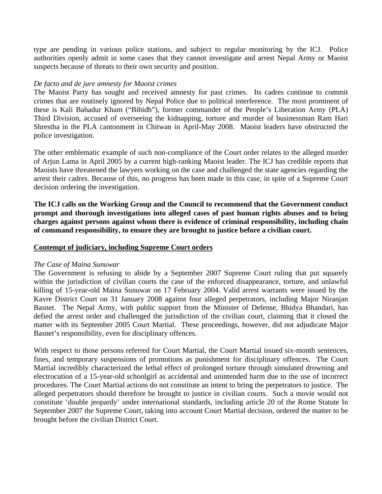type are pending in various police stations, and subject to regular monitoring by the ICJ. Police authorities openly admit in some cases that they cannot investigate and arrest Nepal Army or Maoist suspects because of threats to their own security and position.

#### *De facto and de jure amnesty for Maoist crimes*

The Maoist Party has sought and received amnesty for past crimes. Its cadres continue to commit crimes that are routinely ignored by Nepal Police due to political interference. The most prominent of these is Kali Bahadur Kham ("Bibidh"), former commander of the People's Liberation Army (PLA) Third Division, accused of overseeing the kidnapping, torture and murder of businessman Ram Hari Shrestha in the PLA cantonment in Chitwan in April-May 2008. Maoist leaders have obstructed the police investigation.

The other emblematic example of such non-compliance of the Court order relates to the alleged murder of Arjun Lama in April 2005 by a current high-ranking Maoist leader. The ICJ has credible reports that Maoists have threatened the lawyers working on the case and challenged the state agencies regarding the arrest their cadres. Because of this, no progress has been made in this case, in spite of a Supreme Court decision ordering the investigation.

**The ICJ calls on the Working Group and the Council to recommend that the Government conduct prompt and thorough investigations into alleged cases of past human rights abuses and to bring charges against persons against whom there is evidence of criminal responsibility, including chain of command responsibility, to ensure they are brought to justice before a civilian court.** 

#### **Contempt of judiciary, including Supreme Court orders**

#### *The Case of Maina Sunuwar*

The Government is refusing to abide by a September 2007 Supreme Court ruling that put squarely within the jurisdiction of civilian courts the case of the enforced disappearance, torture, and unlawful killing of 15-year-old Maina Sunuwar on 17 February 2004. Valid arrest warrants were issued by the Kavre District Court on 31 January 2008 against four alleged perpetrators, including Major Niranjan Basnet. The Nepal Army, with public support from the Minister of Defense, Bhidya Bhandari, has defied the arrest order and challenged the jurisdiction of the civilian court, claiming that it closed the matter with its September 2005 Court Martial. These proceedings, however, did not adjudicate Major Basnet's responsibility, even for disciplinary offences.

With respect to those persons referred for Court Martial, the Court Martial issued six-month sentences, fines, and temporary suspensions of promotions as punishment for disciplinary offences. The Court Martial incredibly characterized the lethal effect of prolonged torture through simulated drowning and electrocution of a 15-year-old schoolgirl as accidental and unintended harm due to the use of incorrect procedures. The Court Martial actions do not constitute an intent to bring the perpetrators to justice. The alleged perpetrators should therefore be brought to justice in civilian courts. Such a movie would not constitute 'double jeopardy' under international standards, including article 20 of the Rome Statute In September 2007 the Supreme Court, taking into account Court Martial decision, ordered the matter to be brought before the civilian District Court.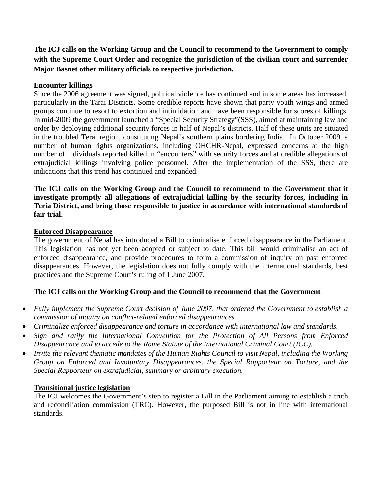**The ICJ calls on the Working Group and the Council to recommend to the Government to comply with the Supreme Court Order and recognize the jurisdiction of the civilian court and surrender Major Basnet other military officials to respective jurisdiction.** 

# **Encounter killings**

Since the 2006 agreement was signed, political violence has continued and in some areas has increased, particularly in the Tarai Districts. Some credible reports have shown that party youth wings and armed groups continue to resort to extortion and intimidation and have been responsible for scores of killings. In mid-2009 the government launched a "Special Security Strategy"(SSS), aimed at maintaining law and order by deploying additional security forces in half of Nepal's districts. Half of these units are situated in the troubled Terai region, constituting Nepal's southern plains bordering India. In October 2009, a number of human rights organizations, including OHCHR-Nepal, expressed concerns at the high number of individuals reported killed in "encounters" with security forces and at credible allegations of extrajudicial killings involving police personnel. After the implementation of the SSS, there are indications that this trend has continued and expanded.

### **The ICJ calls on the Working Group and the Council to recommend to the Government that it investigate promptly all allegations of extrajudicial killing by the security forces, including in Teria District, and bring those responsible to justice in accordance with international standards of fair trial.**

# **Enforced Disappearance**

The government of Nepal has introduced a Bill to criminalise enforced disappearance in the Parliament. This legislation has not yet been adopted or subject to date. This bill would criminalise an act of enforced disappearance, and provide procedures to form a commission of inquiry on past enforced disappearances. However, the legislation does not fully comply with the international standards, best practices and the Supreme Court's ruling of 1 June 2007.

# **The ICJ calls on the Working Group and the Council to recommend that the Government**

- *Fully implement the Supreme Court decision of June 2007, that ordered the Government to establish a commission of inquiry on conflict-related enforced disappearances.*
- *Criminalize enforced disappearance and torture in accordance with international law and standards.*
- *Sign and ratify the International Convention for the Protection of All Persons from Enforced Disappearance and to accede to the Rome Statute of the International Criminal Court (ICC).*
- *Invite the relevant thematic mandates of the Human Rights Council to visit Nepal, including the Working Group on Enforced and Involuntary Disappearances, the Special Rapporteur on Torture, and the Special Rapporteur on extrajudicial, summary or arbitrary execution.*

# **Transitional justice legislation**

The ICJ welcomes the Government's step to register a Bill in the Parliament aiming to establish a truth and reconciliation commission (TRC). However, the purposed Bill is not in line with international standards.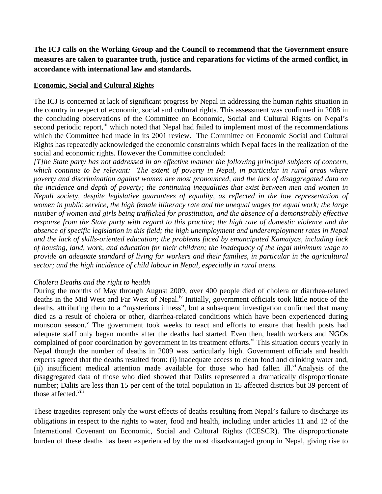**The ICJ calls on the Working Group and the Council to recommend that the Government ensure measures are taken to guarantee truth, justice and reparations for victims of the armed conflict, in accordance with international law and standards.** 

### **Economic, Social and Cultural Rights**

The ICJ is concerned at lack of significant progress by Nepal in addressing the human rights situation in the country in respect of economic, social and cultural rights. This assessment was confirmed in 2008 in the concluding observations of the Committee on Economic, Social and Cultural Rights on Nepal's second periodic report,<sup>iii</sup> which noted that Nepal had failed to implement most of the recommendations which the Committee had made in its 2001 review. The Committee on Economic Social and Cultural Rights has repeatedly acknowledged the economic constraints which Nepal faces in the realization of the social and economic rights. However the Committee concluded:

*[T]he State party has not addressed in an effective manner the following principal subjects of concern, which continue to be relevant: The extent of poverty in Nepal, in particular in rural areas where poverty and discrimination against women are most pronounced, and the lack of disaggregated data on the incidence and depth of poverty; the continuing inequalities that exist between men and women in Nepali society, despite legislative guarantees of equality, as reflected in the low representation of women in public service, the high female illiteracy rate and the unequal wages for equal work; the large number of women and girls being trafficked for prostitution, and the absence of a demonstrably effective response from the State party with regard to this practice; the high rate of domestic violence and the absence of specific legislation in this field; the high unemployment and underemployment rates in Nepal and the lack of skills-oriented education; the problems faced by emancipated Kamaiyas, including lack of housing, land, work, and education for their children; the inadequacy of the legal minimum wage to provide an adequate standard of living for workers and their families, in particular in the agricultural sector; and the high incidence of child labour in Nepal, especially in rural areas.* 

#### *Cholera Deaths and the right to health*

During the months of May through August 2009, over 400 people died of cholera or diarrhea-related deaths in the Mid West and Far West of Nepal.<sup>iv</sup> Initially, government officials took little notice of the deaths, attributing them to a "mysterious illness", but a subsequent investigation confirmed that many died as a result of cholera or other, diarrhea-related conditions which have been experienced during monsoon season.<sup>V</sup> The government took weeks to react and efforts to ensure that health posts had adequate staff only began months after the deaths had started. Even then, health workers and NGOs complained of poor coordination by government in its treatment efforts.<sup>vi</sup> This situation occurs yearly in Nepal though the number of deaths in 2009 was particularly high. Government officials and health experts agreed that the deaths resulted from: (i) inadequate access to clean food and drinking water and, (ii) insufficient medical attention made available for those who had fallen ill.<sup>vii</sup>Analysis of the disaggregated data of those who died showed that Dalits represented a dramatically disproportionate number; Dalits are less than 15 per cent of the total population in 15 affected districts but 39 percent of those affected.<sup>viii</sup>

These tragedies represent only the worst effects of deaths resulting from Nepal's failure to discharge its obligations in respect to the rights to water, food and health, including under articles 11 and 12 of the International Covenant on Economic, Social and Cultural Rights (ICESCR). The disproportionate burden of these deaths has been experienced by the most disadvantaged group in Nepal, giving rise to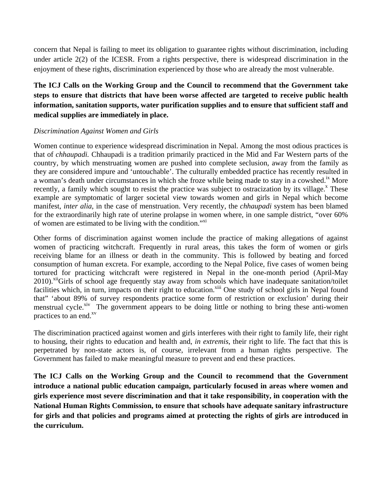concern that Nepal is failing to meet its obligation to guarantee rights without discrimination, including under article 2(2) of the ICESR. From a rights perspective, there is widespread discrimination in the enjoyment of these rights, discrimination experienced by those who are already the most vulnerable.

# **The ICJ Calls on the Working Group and the Council to recommend that the Government take steps to ensure that districts that have been worse affected are targeted to receive public health information, sanitation supports, water purification supplies and to ensure that sufficient staff and medical supplies are immediately in place.**

# *Discrimination Against Women and Girls*

Women continue to experience widespread discrimination in Nepal. Among the most odious practices is that of *chhaupadi.* Chhaupadi is a tradition primarily practiced in the Mid and Far Western parts of the country, by which menstruating women are pushed into complete seclusion, away from the family as they are considered impure and 'untouchable'. The culturally embedded practice has recently resulted in a woman's death under circumstances in which she froze while being made to stay in a cowshed.<sup>ix</sup> More recently, a family which sought to resist the practice was subject to ostracization by its village.<sup>x</sup> These example are symptomatic of larger societal view towards women and girls in Nepal which become manifest, *inter alia*, in the case of menstruation. Very recently, the *chhaupadi* system has been blamed for the extraordinarily high rate of uterine prolapse in women where, in one sample district, "over 60% of women are estimated to be living with the condition."<sup>xi</sup>

Other forms of discrimination against women include the practice of making allegations of against women of practicing witchcraft. Frequently in rural areas, this takes the form of women or girls receiving blame for an illness or death in the community. This is followed by beating and forced consumption of human excreta. For example, according to the Nepal Police, five cases of women being tortured for practicing witchcraft were registered in Nepal in the one-month period (April-May 2010).<sup>xii</sup>Girls of school age frequently stay away from schools which have inadequate sanitation/toilet facilities which, in turn, impacts on their right to education.<sup>xiii</sup> One study of school girls in Nepal found that" 'about 89% of survey respondents practice some form of restriction or exclusion' during their menstrual cycle.<sup>xiv</sup> The government appears to be doing little or nothing to bring these anti-women practices to an end.<sup>xv</sup>

The discrimination practiced against women and girls interferes with their right to family life, their right to housing, their rights to education and health and, *in extremis*, their right to life. The fact that this is perpetrated by non-state actors is, of course, irrelevant from a human rights perspective. The Government has failed to make meaningful measure to prevent and end these practices.

**The ICJ Calls on the Working Group and the Council to recommend that the Government introduce a national public education campaign, particularly focused in areas where women and girls experience most severe discrimination and that it take responsibility, in cooperation with the National Human Rights Commission, to ensure that schools have adequate sanitary infrastructure for girls and that policies and programs aimed at protecting the rights of girls are introduced in the curriculum.**